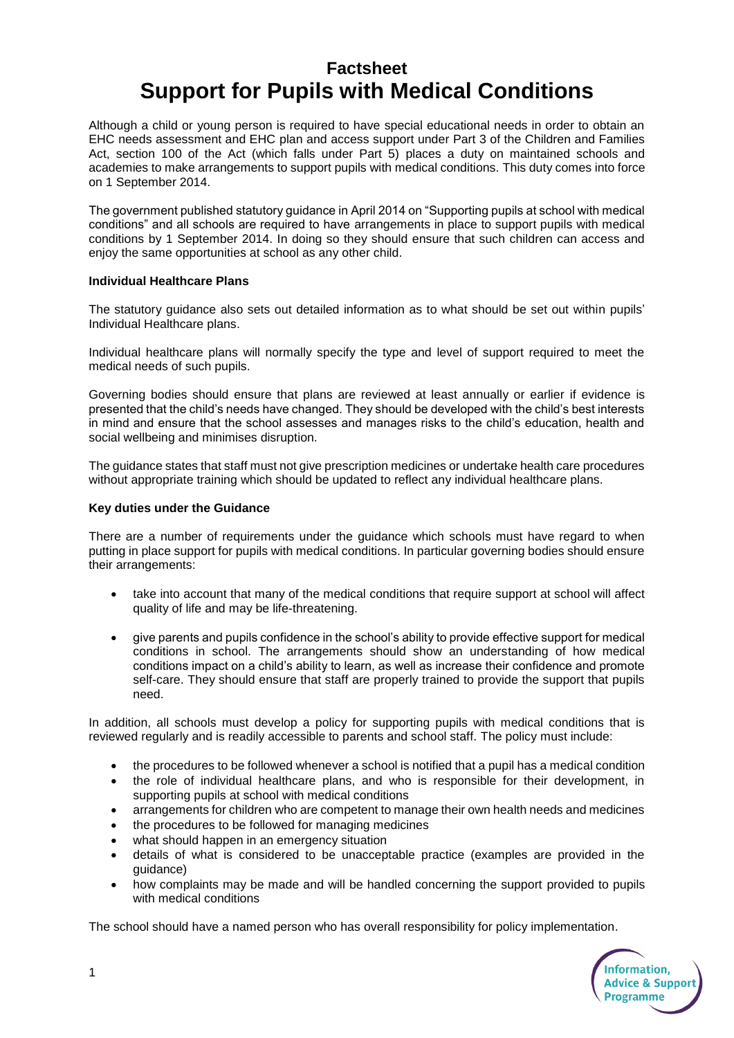# **Factsheet Support for Pupils with Medical Conditions**

Although a child or young person is required to have special educational needs in order to obtain an EHC needs assessment and EHC plan and access support under Part 3 of the Children and Families Act, section 100 of the Act (which falls under Part 5) places a duty on maintained schools and academies to make arrangements to support pupils with medical conditions. This duty comes into force on 1 September 2014.

The government published statutory guidance in April 2014 on "Supporting pupils at school with medical conditions" and all schools are required to have arrangements in place to support pupils with medical conditions by 1 September 2014. In doing so they should ensure that such children can access and enjoy the same opportunities at school as any other child.

### **Individual Healthcare Plans**

The statutory guidance also sets out detailed information as to what should be set out within pupils' Individual Healthcare plans.

Individual healthcare plans will normally specify the type and level of support required to meet the medical needs of such pupils.

Governing bodies should ensure that plans are reviewed at least annually or earlier if evidence is presented that the child's needs have changed. They should be developed with the child's best interests in mind and ensure that the school assesses and manages risks to the child's education, health and social wellbeing and minimises disruption.

The guidance states that staff must not give prescription medicines or undertake health care procedures without appropriate training which should be updated to reflect any individual healthcare plans.

### **Key duties under the Guidance**

There are a number of requirements under the guidance which schools must have regard to when putting in place support for pupils with medical conditions. In particular governing bodies should ensure their arrangements:

- take into account that many of the medical conditions that require support at school will affect quality of life and may be life-threatening.
- give parents and pupils confidence in the school's ability to provide effective support for medical conditions in school. The arrangements should show an understanding of how medical conditions impact on a child's ability to learn, as well as increase their confidence and promote self-care. They should ensure that staff are properly trained to provide the support that pupils need.

In addition, all schools must develop a policy for supporting pupils with medical conditions that is reviewed regularly and is readily accessible to parents and school staff. The policy must include:

- the procedures to be followed whenever a school is notified that a pupil has a medical condition
- the role of individual healthcare plans, and who is responsible for their development, in supporting pupils at school with medical conditions
- arrangements for children who are competent to manage their own health needs and medicines
- the procedures to be followed for managing medicines
- what should happen in an emergency situation
- details of what is considered to be unacceptable practice (examples are provided in the guidance)
- how complaints may be made and will be handled concerning the support provided to pupils with medical conditions

The school should have a named person who has overall responsibility for policy implementation.